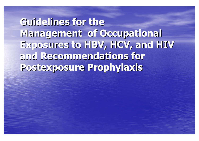**Guidelines for the Guidelines for the Management of Occupational Management of Occupational Exposures to HBV, HCV, and HIV Exposures to HBV, HCV, and HIV and Recommendations for and Recommendations for Postexposure Prophylaxis Postexposure Prophylaxis**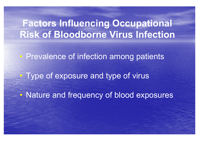# **Factors Influencing Occupational Risk of Bloodborne Virus Infection**

 $\bigcap$ **• Prevalence of infection among patients**  $\bigcap$ **Type of exposure and type of virus**  $\bullet$ Nature and frequency of blood exposures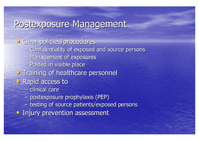#### Postexposure Management

• Clear policies/procedures  $-$  Confidentiality of exposed and source persons  $-$  Management of exposures – Posted in visible place **• Training of healthcare personnel** • Rapid access to – clinical care postexposure prophylaxis (PEP) postexposure prophylaxis (PEP)  $-$  testing of source patients/exposed persons • Injury prevention assessment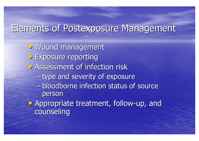# Elements of Postexposure Management

- · Wound management **• Exposure reporting • Assessment of infection risk** – type and severity of exposure –- bloodborne infection status of source person • Appropriate treatment, follow-up, and
	- counseling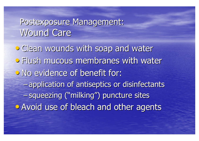# Postexposure Management: Wound Care

• Clean wounds with soap and water • Flush mucous membranes with water • No evidence of benefit for: –- application of antiseptics or disinfectants –-squeezing ("milking") puncture sites • Avoid use of bleach and other agents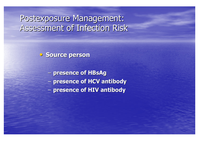#### Postexposure Management: Assessment of Infection Risk Assessment of Infection Risk

**• Source person** 

**presence of HBsAg presence of HBsAg** 

–**presence of HCV antibody presence of HCV antibody**

– *Little Little Little Little* **presence of HIV antibody presence of HIV antibody**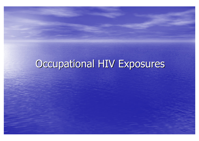# Occupational HIV Exposures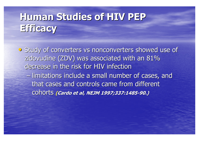# **Human Studies of HIV PEP Human Studies of HIV PEP Efficacy Efficacy**

• Study of converters vs nonconverters showed use of zidovudine (ZDV) was associated with an 81% decrease in the risk for HIV infection –– limitations include a small number of cases, and that cases and controls came from different cohorts cohorts **(Cardo et al, NEJM 1997;337:1485 Cardo et al, NEJM 1997;337:1485-90.)**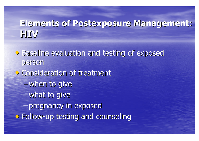# **Elements of Postexposure Management: Elements of Postexposure Management: HIV**

**• Baseline evaluation and testing of exposed** person • Consideration of treatment –-when to give –-what to give –- pregnancy in exposed **• Follow-up testing and counseling**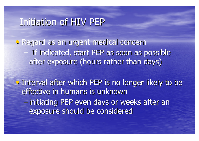# Initiation of HIV PEP

• Regard as an urgent medical concern Regard as an urgent medical concern - If indicated, start PEP as soon as possible after exposure (hours rather than days)

• Interval after which PEP is no longer likely to be effective in humans is unknown – $-$  initiating PEP even days or weeks after an exposure should be considered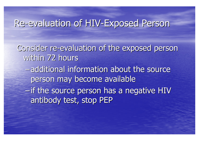#### Re-evaluation of HIV-Exposed Person

Consider re-evaluation of the exposed person within 72 hours

- $-$ additional information about the source person may become available
- –if the source person has a negative HIV antibody test, stop PEP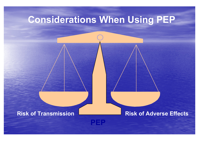# **Considerations When Using PEP**

#### **Risk of Transmission**

**Risk of Adverse Effects** 

**PEP**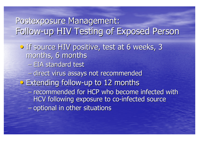# Postexposure Management: Follow-up HIV Testing of Exposed Person

- If source HIV positive, test at 6 weeks, 3 months, 6 months
	- EIA standard test
	- –– direct virus assays not recommended
- **•** Extending follow-up to 12 months
	- –- recommended for HCP who become infected with HCV following exposure to co-infected source – $-$  optional in other situations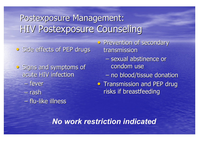# Postexposure Management: HIV Postexposure Counseling

• Side effects of PEP drugs

- Signs and symptoms of acute HIV infection
	- fever
	- rash
	- flu-like illness
- Prevention of secondary transmission
	- –- sexual abstinence or condom use
	- no blood/tissue donation
- Transmission and PEP drug risks if breastfeeding

*No work restriction indicated*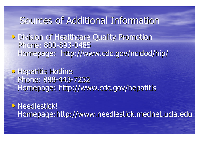### Sources of Additional Information

**• Division of Healthcare Quality Promotion** Phone: 800-893-0485 Homepage: http://www.cdc.gov/ncidod/hip/

**• Hepatitis Hotline** Phone: 888-443-7232 Homepage: http://www.cdc.gov/hepatitis

• Needlestick! Homepage:http://www.needlestick.mednet.ucla.edu